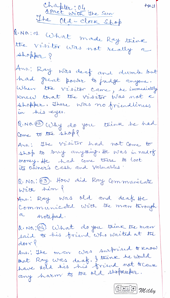Chapter: 04<br>Apact with the sun Page:1 The Old-clock Shop R. No.: 01. What made Ray thène the visitor was not really a shopper ? Ans.: Ray was deaf and dumb but had great power to fudge anyone. When the visitor came, he immediately knew that the visitor Was not a shopper, There was no friendliness in his eyes. Q. NO. (2) Why do you think he had Come to the shop? Ans.; The visitor had not come to shop to buy anything. He was in need of money. He had come there to loot its other's cash and Valuables. R. NO. : 63). How did Ray Communicate With hem ? Ans.: Ray was old and deaf. He Communicated with the man through notepad. RINO, : 64. What do you think the man said to his friend who waited at the  $door$ Ansi' The mon was surprised to know that Ray was deaf. I think he would<br>have told his his friend, not to cause any harm to the old shopkeeper. GETTE Milky